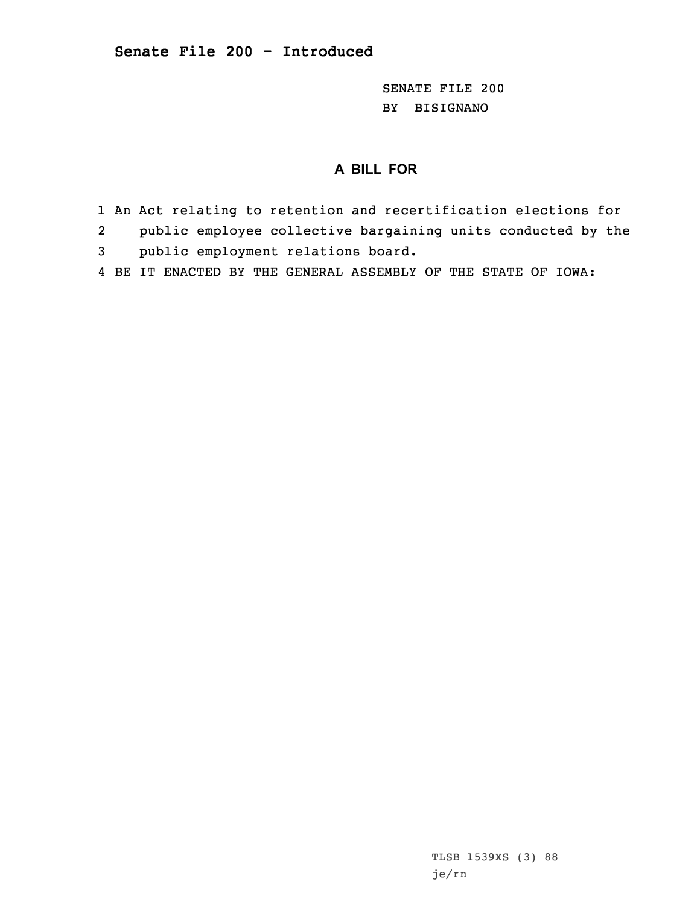SENATE FILE 200 BY BISIGNANO

## **A BILL FOR**

- 1 An Act relating to retention and recertification elections for
- 2public employee collective bargaining units conducted by the
- 3 public employment relations board.
- 4 BE IT ENACTED BY THE GENERAL ASSEMBLY OF THE STATE OF IOWA: